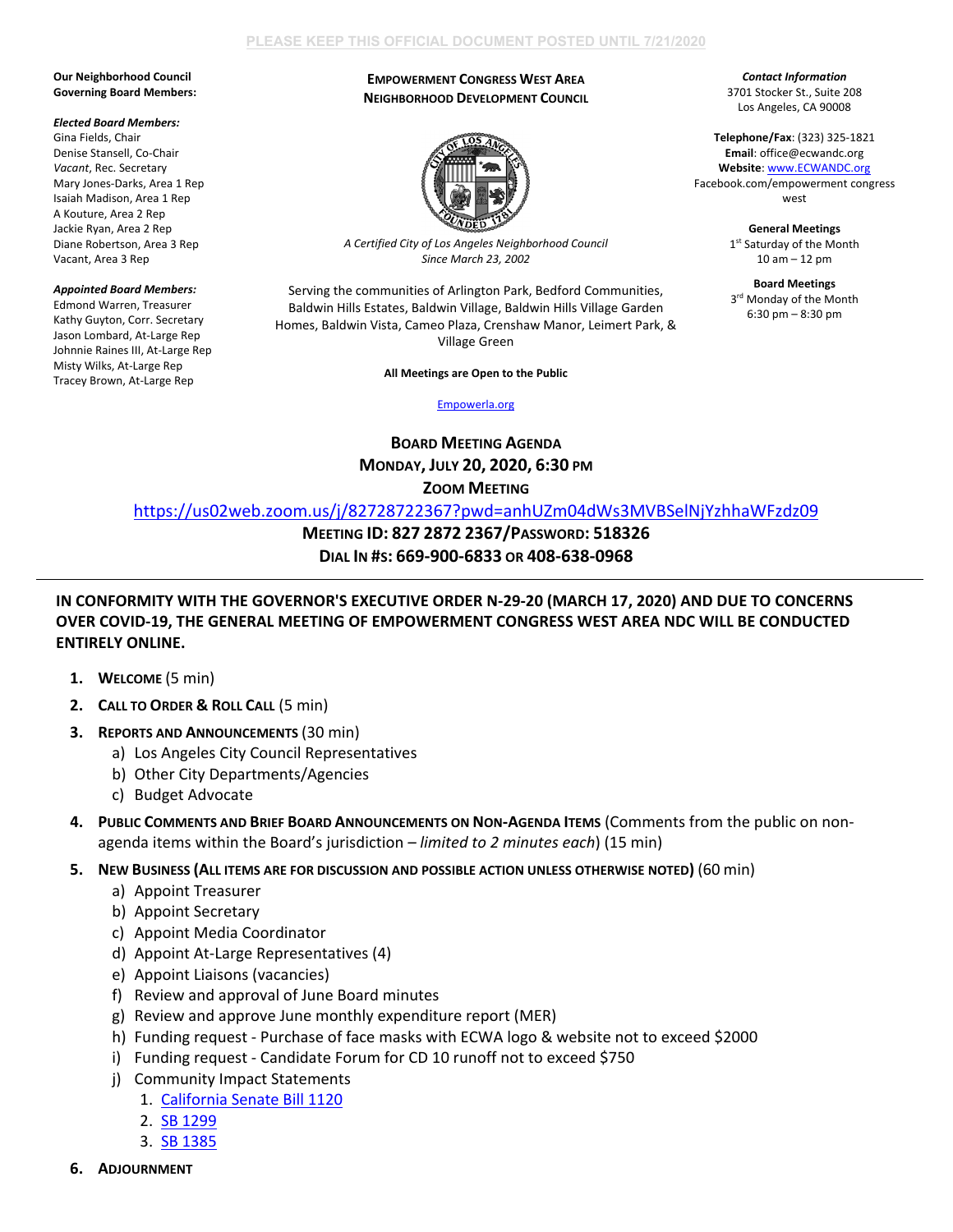## **PLEASE KEEP THIS OFFICIAL DOCUMENT POSTED UNTIL 7/21/2020**

### **Our Neighborhood Council Governing Board Members:**

#### *Elected Board Members:*

Gina Fields, Chair Denise Stansell, Co-Chair *Vacant*, Rec. Secretary Mary Jones-Darks, Area 1 Rep Isaiah Madison, Area 1 Rep A Kouture, Area 2 Rep Jackie Ryan, Area 2 Rep Diane Robertson, Area 3 Rep Vacant, Area 3 Rep

### *Appointed Board Members:*

Edmond Warren, Treasurer Kathy Guyton, Corr. Secretary Jason Lombard, At-Large Rep Johnnie Raines III, At-Large Rep Misty Wilks, At-Large Rep Tracey Brown, At-Large Rep

## **EMPOWERMENT CONGRESS WEST AREA NEIGHBORHOOD DEVELOPMENT COUNCIL**



*A Certified City of Los Angeles Neighborhood Council Since March 23, 2002*

Serving the communities of Arlington Park, Bedford Communities, Baldwin Hills Estates, Baldwin Village, Baldwin Hills Village Garden Homes, Baldwin Vista, Cameo Plaza, Crenshaw Manor, Leimert Park, & Village Green

## **All Meetings are Open to the Public**

[Empowerla.org](http://www.empowerla.org/)

**BOARD MEETING AGENDA MONDAY, JULY 20, 2020, 6:30 PM ZOOM MEETING**

<https://us02web.zoom.us/j/82728722367?pwd=anhUZm04dWs3MVBSelNjYzhhaWFzdz09>

**MEETING ID: 827 2872 2367/PASSWORD: 518326**

**DIAL IN #S: 669-900-6833 OR 408-638-0968**

# **IN CONFORMITY WITH THE GOVERNOR'S EXECUTIVE ORDER N-29-20 (MARCH 17, 2020) AND DUE TO CONCERNS OVER COVID-19, THE GENERAL MEETING OF EMPOWERMENT CONGRESS WEST AREA NDC WILL BE CONDUCTED ENTIRELY ONLINE.**

- **1. WELCOME** (5 min)
- **2. CALL TO ORDER & ROLL CALL** (5 min)
- **3. REPORTS AND ANNOUNCEMENTS** (30 min)
	- a) Los Angeles City Council Representatives
	- b) Other City Departments/Agencies
	- c) Budget Advocate
- **4. PUBLIC COMMENTS AND BRIEF BOARD ANNOUNCEMENTS ON NON-AGENDA ITEMS** (Comments from the public on nonagenda items within the Board's jurisdiction *– limited to 2 minutes each*) (15 min)
- **5. NEW BUSINESS (ALL ITEMS ARE FOR DISCUSSION AND POSSIBLE ACTION UNLESS OTHERWISE NOTED)** (60 min)
	- a) Appoint Treasurer
	- b) Appoint Secretary
	- c) Appoint Media Coordinator
	- d) Appoint At-Large Representatives (4)
	- e) Appoint Liaisons (vacancies)
	- f) Review and approval of June Board minutes
	- g) Review and approve June monthly expenditure report (MER)
	- h) Funding request Purchase of face masks with ECWA logo & website not to exceed \$2000
	- i) Funding request Candidate Forum for CD 10 runoff not to exceed \$750
	- j) Community Impact Statements
		- 1. [California Senate Bill 1120](https://leginfo.legislature.ca.gov/faces/billNavClient.xhtml?bill_id=201920200SB1120)
		- 2. [SB 1299](https://leginfo.legislature.ca.gov/faces/billNavClient.xhtml?bill_id=201920200SB1299)
		- 3. [SB 1385](https://leginfo.legislature.ca.gov/faces/billNavClient.xhtml?bill_id=201920200SB1385)

*Contact Information* 3701 Stocker St., Suite 208 Los Angeles, CA 90008

**Telephone/Fax**: (323) 325-1821 **Email**: office@ecwandc.org **Website**[: www.ECWANDC.org](http://www.ecwandc.org/) Facebook.com/empowerment congress west

> **General Meetings** 1st Saturday of the Month 10 am – 12 pm

> **Board Meetings** 3<sup>rd</sup> Monday of the Month 6:30 pm – 8:30 pm